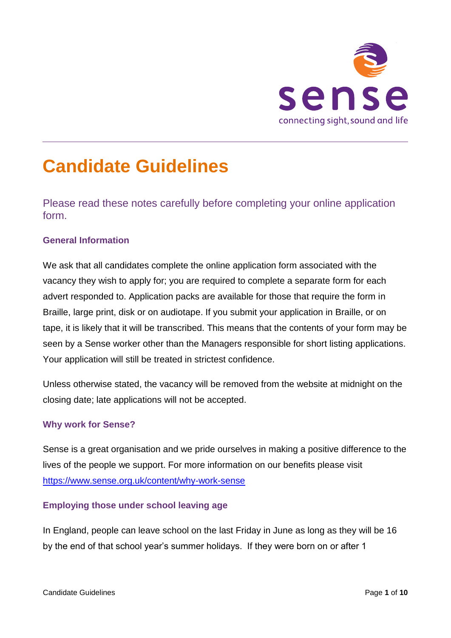

# **Candidate Guidelines**

Please read these notes carefully before completing your online application form.

# **General Information**

Candidate Guidelines

We ask that all candidates complete the online application form associated with the vacancy they wish to apply for; you are required to complete a separate form for each advert responded to. Application packs are available for those that require the form in Braille, large print, disk or on audiotape. If you submit your application in Braille, or on tape, it is likely that it will be transcribed. This means that the contents of your form may be seen by a Sense worker other than the Managers responsible for short listing applications. Your application will still be treated in strictest confidence.

Unless otherwise stated, the vacancy will be removed from the website at midnight on the closing date; late applications will not be accepted.

### **Why work for Sense?**

Sense is a great organisation and we pride ourselves in making a positive difference to the lives of the people we support. For more information on our benefits please visit <https://www.sense.org.uk/content/why-work-sense>

### **Employing those under school leaving age**

In England, people can leave school on the last Friday in June as long as they will be 16 by the end of that school year's summer holidays. If they were born on or after 1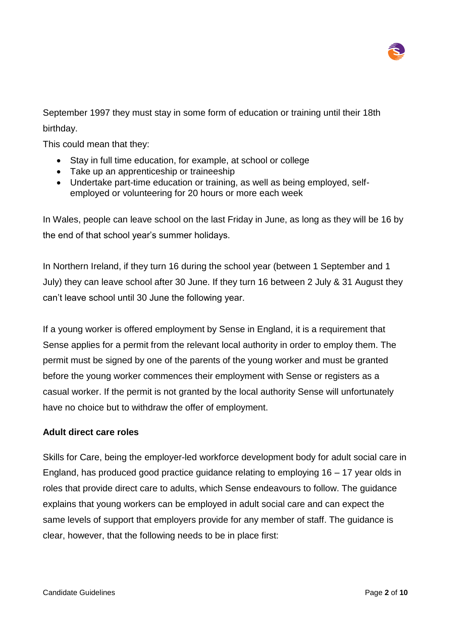

September 1997 they must stay in some form of education or training until their 18th birthday.

This could mean that they:

- Stay in full time education, for example, at school or college
- Take up an apprenticeship or traineeship
- Undertake part-time education or training, as well as being employed, selfemployed or volunteering for 20 hours or more each week

In Wales, people can leave school on the last Friday in June, as long as they will be 16 by the end of that school year's summer holidays.

In Northern Ireland, if they turn 16 during the school year (between 1 September and 1 July) they can leave school after 30 June. If they turn 16 between 2 July & 31 August they can't leave school until 30 June the following year.

If a young worker is offered employment by Sense in England, it is a requirement that Sense applies for a permit from the relevant local authority in order to employ them. The permit must be signed by one of the parents of the young worker and must be granted before the young worker commences their employment with Sense or registers as a casual worker. If the permit is not granted by the local authority Sense will unfortunately have no choice but to withdraw the offer of employment.

#### **Adult direct care roles**

Skills for Care, being the employer-led workforce development body for adult social care in England, has produced good practice guidance relating to employing 16 – 17 year olds in roles that provide direct care to adults, which Sense endeavours to follow. The guidance explains that young workers can be employed in adult social care and can expect the same levels of support that employers provide for any member of staff. The guidance is clear, however, that the following needs to be in place first: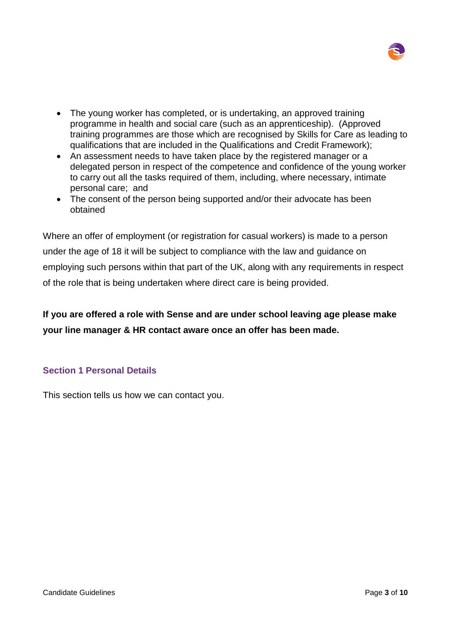

- The young worker has completed, or is undertaking, an approved training programme in health and social care (such as an apprenticeship). (Approved training programmes are those which are recognised by Skills for Care as leading to qualifications that are included in the Qualifications and Credit Framework);
- An assessment needs to have taken place by the registered manager or a delegated person in respect of the competence and confidence of the young worker to carry out all the tasks required of them, including, where necessary, intimate personal care; and
- The consent of the person being supported and/or their advocate has been obtained

Where an offer of employment (or registration for casual workers) is made to a person under the age of 18 it will be subject to compliance with the law and guidance on employing such persons within that part of the UK, along with any requirements in respect of the role that is being undertaken where direct care is being provided.

**If you are offered a role with Sense and are under school leaving age please make your line manager & HR contact aware once an offer has been made.** 

# **Section 1 Personal Details**

This section tells us how we can contact you.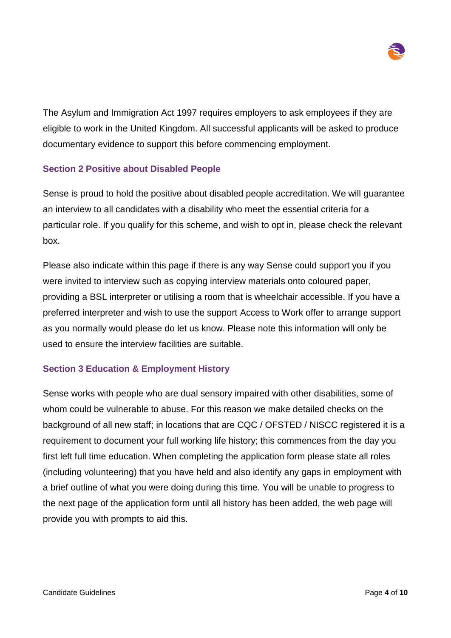

The Asylum and Immigration Act 1997 requires employers to ask employees if they are eligible to work in the United Kingdom. All successful applicants will be asked to produce documentary evidence to support this before commencing employment.

# **Section 2 Positive about Disabled People**

Sense is proud to hold the positive about disabled people accreditation. We will guarantee an interview to all candidates with a disability who meet the essential criteria for a particular role. If you qualify for this scheme, and wish to opt in, please check the relevant box.

Please also indicate within this page if there is any way Sense could support you if you were invited to interview such as copying interview materials onto coloured paper, providing a BSL interpreter or utilising a room that is wheelchair accessible. If you have a preferred interpreter and wish to use the support Access to Work offer to arrange support as you normally would please do let us know. Please note this information will only be used to ensure the interview facilities are suitable.

# **Section 3 Education & Employment History**

Sense works with people who are dual sensory impaired with other disabilities, some of whom could be vulnerable to abuse. For this reason we make detailed checks on the background of all new staff; in locations that are CQC / OFSTED / NISCC registered it is a requirement to document your full working life history; this commences from the day you first left full time education. When completing the application form please state all roles (including volunteering) that you have held and also identify any gaps in employment with a brief outline of what you were doing during this time. You will be unable to progress to the next page of the application form until all history has been added, the web page will provide you with prompts to aid this.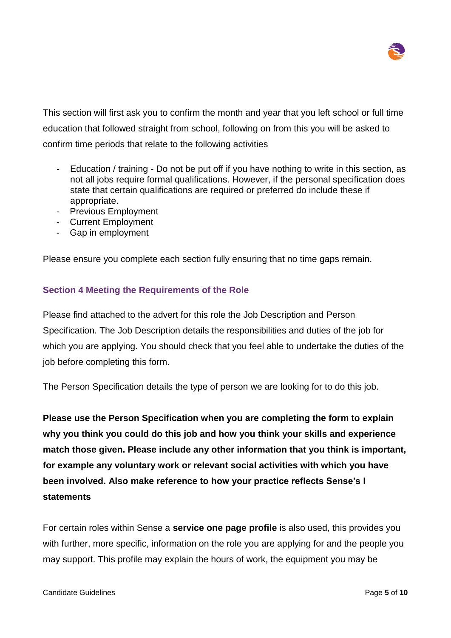

This section will first ask you to confirm the month and year that you left school or full time education that followed straight from school, following on from this you will be asked to confirm time periods that relate to the following activities

- Education / training Do not be put off if you have nothing to write in this section, as not all jobs require formal qualifications. However, if the personal specification does state that certain qualifications are required or preferred do include these if appropriate.
- Previous Employment
- Current Employment
- Gap in employment

Please ensure you complete each section fully ensuring that no time gaps remain.

# **Section 4 Meeting the Requirements of the Role**

Please find attached to the advert for this role the Job Description and Person Specification. The Job Description details the responsibilities and duties of the job for which you are applying. You should check that you feel able to undertake the duties of the job before completing this form.

The Person Specification details the type of person we are looking for to do this job.

**Please use the Person Specification when you are completing the form to explain why you think you could do this job and how you think your skills and experience match those given. Please include any other information that you think is important, for example any voluntary work or relevant social activities with which you have been involved. Also make reference to how your practice reflects Sense's I statements**

For certain roles within Sense a **service one page profile** is also used, this provides you with further, more specific, information on the role you are applying for and the people you may support. This profile may explain the hours of work, the equipment you may be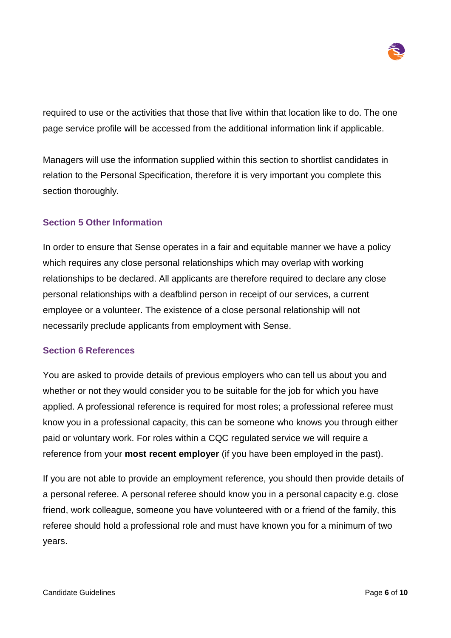

required to use or the activities that those that live within that location like to do. The one page service profile will be accessed from the additional information link if applicable.

Managers will use the information supplied within this section to shortlist candidates in relation to the Personal Specification, therefore it is very important you complete this section thoroughly.

# **Section 5 Other Information**

In order to ensure that Sense operates in a fair and equitable manner we have a policy which requires any close personal relationships which may overlap with working relationships to be declared. All applicants are therefore required to declare any close personal relationships with a deafblind person in receipt of our services, a current employee or a volunteer. The existence of a close personal relationship will not necessarily preclude applicants from employment with Sense.

### **Section 6 References**

You are asked to provide details of previous employers who can tell us about you and whether or not they would consider you to be suitable for the job for which you have applied. A professional reference is required for most roles; a professional referee must know you in a professional capacity, this can be someone who knows you through either paid or voluntary work. For roles within a CQC regulated service we will require a reference from your **most recent employer** (if you have been employed in the past).

If you are not able to provide an employment reference, you should then provide details of a personal referee. A personal referee should know you in a personal capacity e.g. close friend, work colleague, someone you have volunteered with or a friend of the family, this referee should hold a professional role and must have known you for a minimum of two years.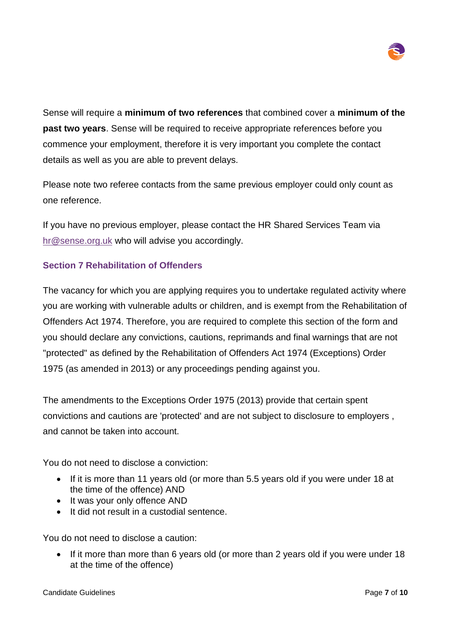

Sense will require a **minimum of two references** that combined cover a **minimum of the past two years**. Sense will be required to receive appropriate references before you commence your employment, therefore it is very important you complete the contact details as well as you are able to prevent delays.

Please note two referee contacts from the same previous employer could only count as one reference.

If you have no previous employer, please contact the HR Shared Services Team via [hr@sense.org.uk](mailto:hr@sense.org.uk) who will advise you accordingly.

# **Section 7 Rehabilitation of Offenders**

The vacancy for which you are applying requires you to undertake regulated activity where you are working with vulnerable adults or children, and is exempt from the Rehabilitation of Offenders Act 1974. Therefore, you are required to complete this section of the form and you should declare any convictions, cautions, reprimands and final warnings that are not "protected" as defined by the Rehabilitation of Offenders Act 1974 (Exceptions) Order 1975 (as amended in 2013) or any proceedings pending against you.

The amendments to the Exceptions Order 1975 (2013) provide that certain spent convictions and cautions are 'protected' and are not subject to disclosure to employers , and cannot be taken into account.

You do not need to disclose a conviction:

- If it is more than 11 years old (or more than 5.5 years old if you were under 18 at the time of the offence) AND
- It was your only offence AND
- It did not result in a custodial sentence.

You do not need to disclose a caution:

• If it more than more than 6 years old (or more than 2 years old if you were under 18 at the time of the offence)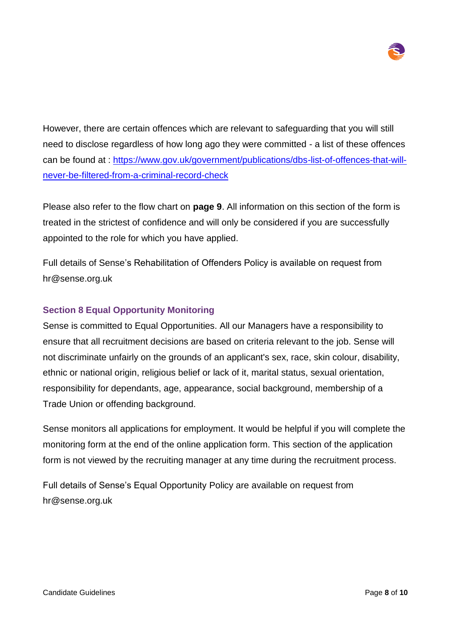

However, there are certain offences which are relevant to safeguarding that you will still need to disclose regardless of how long ago they were committed - a list of these offences can be found at : [https://www.gov.uk/government/publications/dbs-list-of-offences-that-will](https://www.gov.uk/government/publications/dbs-list-of-offences-that-will-never-be-filtered-from-a-criminal-record-check)[never-be-filtered-from-a-criminal-record-check](https://www.gov.uk/government/publications/dbs-list-of-offences-that-will-never-be-filtered-from-a-criminal-record-check)

Please also refer to the flow chart on **page 9**. All information on this section of the form is treated in the strictest of confidence and will only be considered if you are successfully appointed to the role for which you have applied.

Full details of Sense's Rehabilitation of Offenders Policy is available on request from hr@sense.org.uk

# **Section 8 Equal Opportunity Monitoring**

Sense is committed to Equal Opportunities. All our Managers have a responsibility to ensure that all recruitment decisions are based on criteria relevant to the job. Sense will not discriminate unfairly on the grounds of an applicant's sex, race, skin colour, disability, ethnic or national origin, religious belief or lack of it, marital status, sexual orientation, responsibility for dependants, age, appearance, social background, membership of a Trade Union or offending background.

Sense monitors all applications for employment. It would be helpful if you will complete the monitoring form at the end of the online application form. This section of the application form is not viewed by the recruiting manager at any time during the recruitment process.

Full details of Sense's Equal Opportunity Policy are available on request from hr@sense.org.uk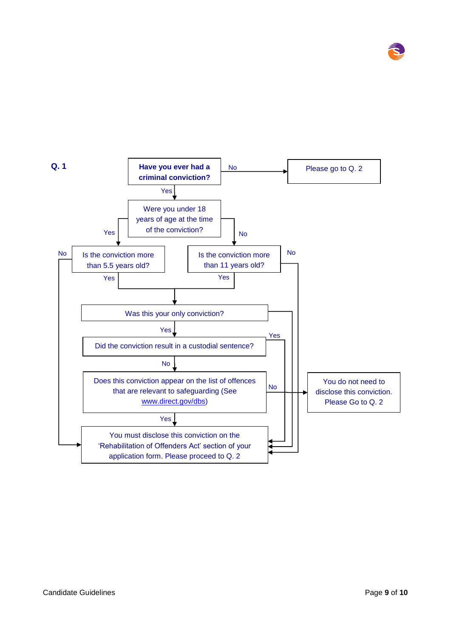